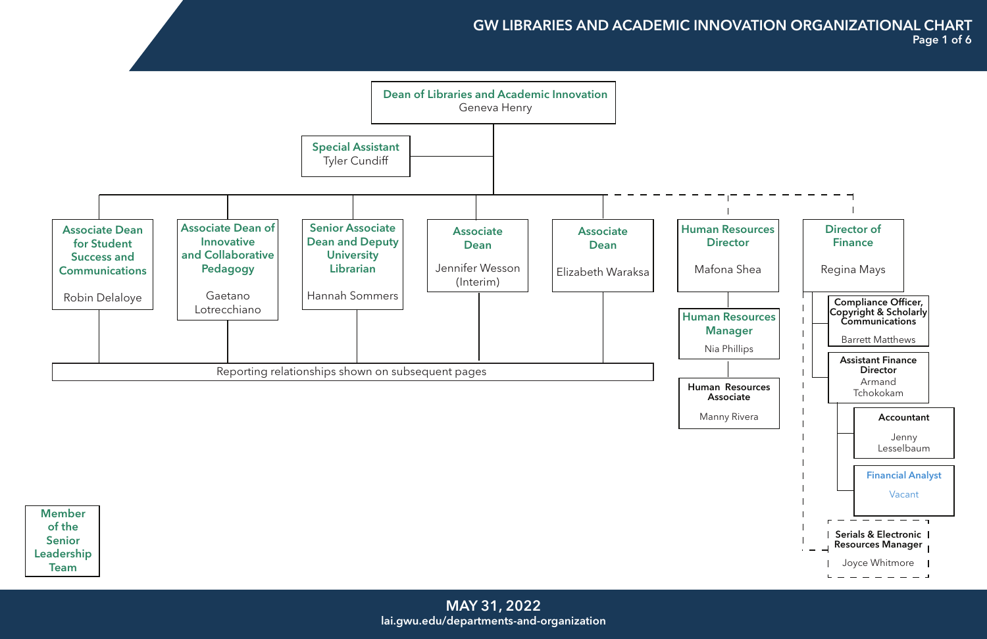

Member of the Senior Leadership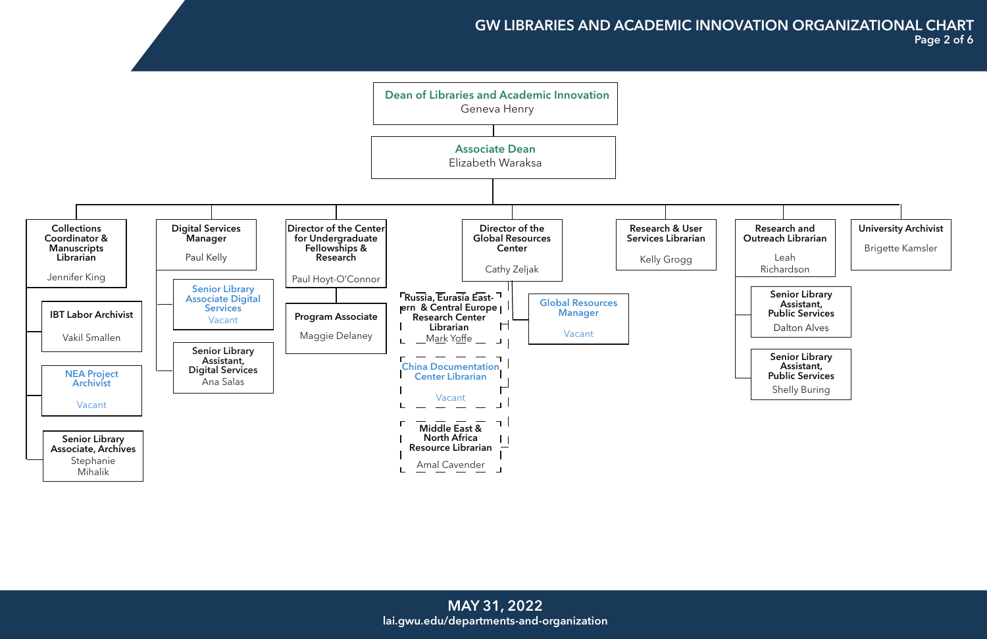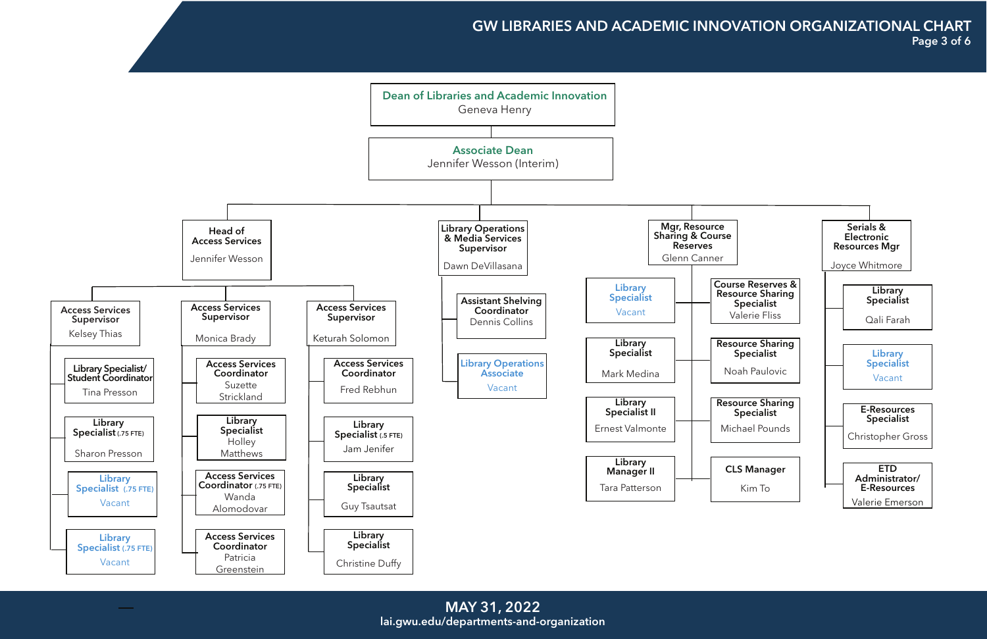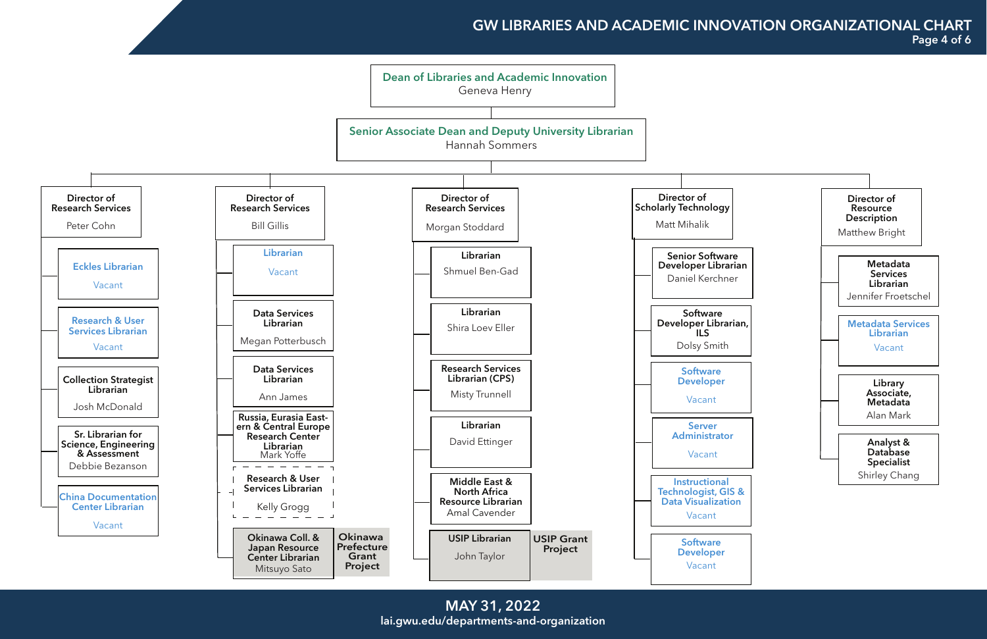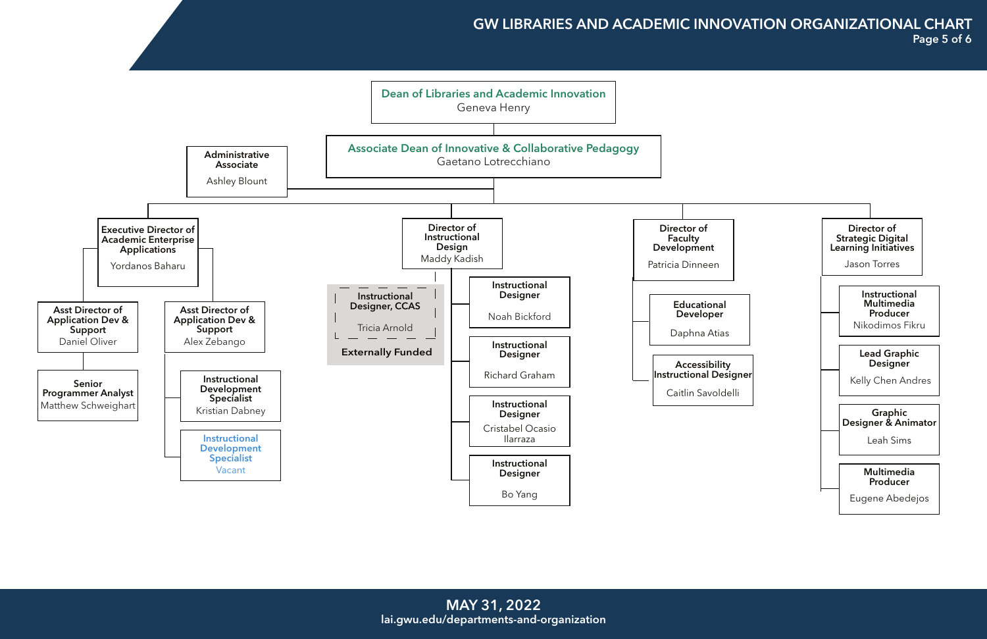## GW LIBRARIES AND ACADEMIC INNOVATION ORGANIZATIONAL CHART